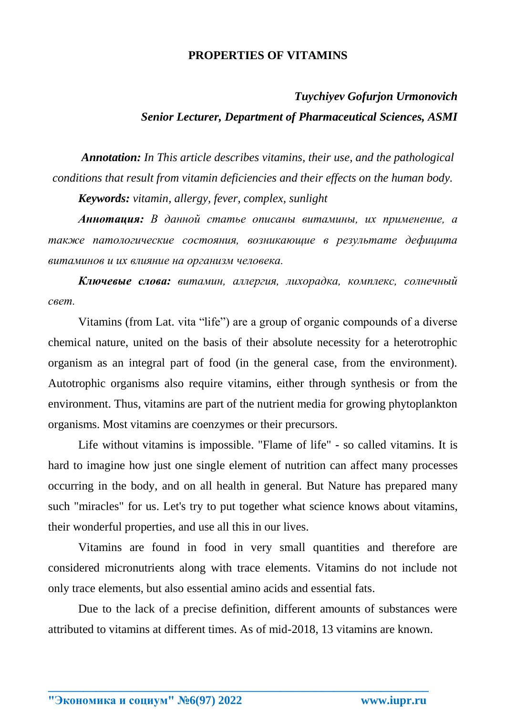## **PROPERTIES OF VITAMINS**

## *Tuychiyev Gofurjon Urmonovich Senior Lecturer, Department of Pharmaceutical Sciences, ASMI*

*Annotation: In This article describes vitamins, their use, and the pathological conditions that result from vitamin deficiencies and their effects on the human body.*

*Keywords: vitamin, allergy, fever, complex, sunlight*

*Аннотация: В данной статье описаны витамины, их применение, а также патологические состояния, возникающие в результате дефицита витаминов и их влияние на организм человека.*

*Ключевые слова: витамин, аллергия, лихорадка, комплекс, солнечный свет.*

Vitamins (from Lat. vita "life") are a group of organic compounds of a diverse chemical nature, united on the basis of their absolute necessity for a heterotrophic organism as an integral part of food (in the general case, from the environment). Autotrophic organisms also require vitamins, either through synthesis or from the environment. Thus, vitamins are part of the nutrient media for growing phytoplankton organisms. Most vitamins are coenzymes or their precursors.

Life without vitamins is impossible. "Flame of life" - so called vitamins. It is hard to imagine how just one single element of nutrition can affect many processes occurring in the body, and on all health in general. But Nature has prepared many such "miracles" for us. Let's try to put together what science knows about vitamins, their wonderful properties, and use all this in our lives.

Vitamins are found in food in very small quantities and therefore are considered micronutrients along with trace elements. Vitamins do not include not only trace elements, but also essential amino acids and essential fats.

Due to the lack of a precise definition, different amounts of substances were attributed to vitamins at different times. As of mid-2018, 13 vitamins are known.

**\_\_\_\_\_\_\_\_\_\_\_\_\_\_\_\_\_\_\_\_\_\_\_\_\_\_\_\_\_\_\_\_\_\_\_\_\_\_\_\_\_\_\_\_\_\_\_\_\_\_\_\_\_\_\_\_\_\_\_\_\_\_\_\_**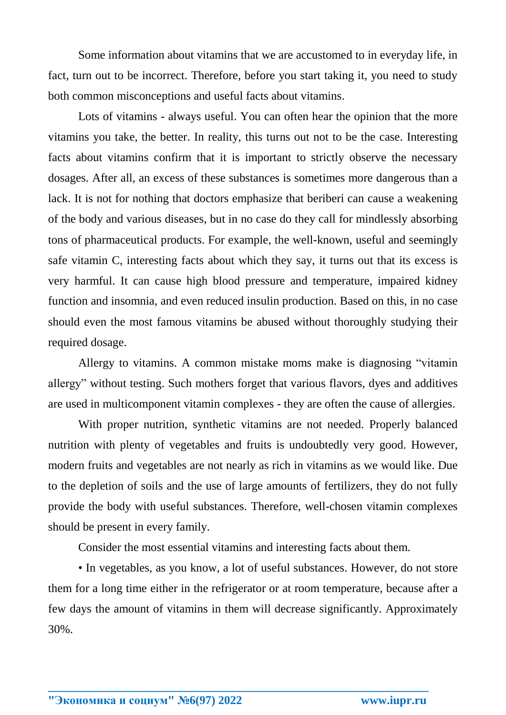Some information about vitamins that we are accustomed to in everyday life, in fact, turn out to be incorrect. Therefore, before you start taking it, you need to study both common misconceptions and useful facts about vitamins.

Lots of vitamins - always useful. You can often hear the opinion that the more vitamins you take, the better. In reality, this turns out not to be the case. Interesting facts about vitamins confirm that it is important to strictly observe the necessary dosages. After all, an excess of these substances is sometimes more dangerous than a lack. It is not for nothing that doctors emphasize that beriberi can cause a weakening of the body and various diseases, but in no case do they call for mindlessly absorbing tons of pharmaceutical products. For example, the well-known, useful and seemingly safe vitamin C, interesting facts about which they say, it turns out that its excess is very harmful. It can cause high blood pressure and temperature, impaired kidney function and insomnia, and even reduced insulin production. Based on this, in no case should even the most famous vitamins be abused without thoroughly studying their required dosage.

Allergy to vitamins. A common mistake moms make is diagnosing "vitamin allergy" without testing. Such mothers forget that various flavors, dyes and additives are used in multicomponent vitamin complexes - they are often the cause of allergies.

With proper nutrition, synthetic vitamins are not needed. Properly balanced nutrition with plenty of vegetables and fruits is undoubtedly very good. However, modern fruits and vegetables are not nearly as rich in vitamins as we would like. Due to the depletion of soils and the use of large amounts of fertilizers, they do not fully provide the body with useful substances. Therefore, well-chosen vitamin complexes should be present in every family.

Consider the most essential vitamins and interesting facts about them.

• In vegetables, as you know, a lot of useful substances. However, do not store them for a long time either in the refrigerator or at room temperature, because after a few days the amount of vitamins in them will decrease significantly. Approximately 30%.

**\_\_\_\_\_\_\_\_\_\_\_\_\_\_\_\_\_\_\_\_\_\_\_\_\_\_\_\_\_\_\_\_\_\_\_\_\_\_\_\_\_\_\_\_\_\_\_\_\_\_\_\_\_\_\_\_\_\_\_\_\_\_\_\_**